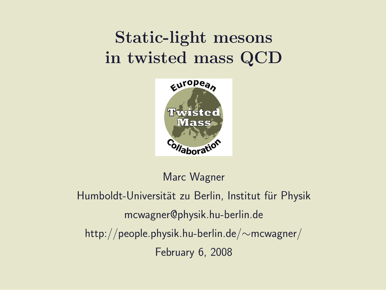### Static-light mesons in twisted mass QCD



Marc Wagner

Humboldt-Universität zu Berlin, Institut für Physik mcwagner@physik.hu-berlin.de http://people.physik.hu-berlin.de/∼mcwagner/ February 6, 2008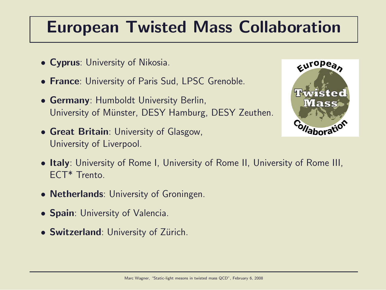#### European Twisted Mass Collaboration

- Cyprus: University of Nikosia.
- France: University of Paris Sud, LPSC Grenoble.
- Germany: Humboldt University Berlin, University of Münster, DESY Hamburg, DESY Zeuthen.
- Great Britain: University of Glasgow, University of Liverpool.



- Italy: University of Rome I, University of Rome II, University of Rome III, ECT\* Trento.
- **Netherlands**: University of Groningen.
- **Spain: University of Valencia.**
- Switzerland: University of Zürich.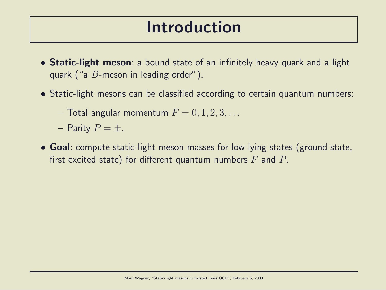#### Introduction

- Static-light meson: a bound state of an infinitely heavy quark and a light quark ("a B-meson in leading order").
- Static-light mesons can be classified according to certain quantum numbers:
	- $-$  Total angular momentum  $F = 0, 1, 2, 3, \ldots$
	- Parity  $P = \pm$ .
- Goal: compute static-light meson masses for low lying states (ground state, first excited state) for different quantum numbers  $F$  and  $P$ .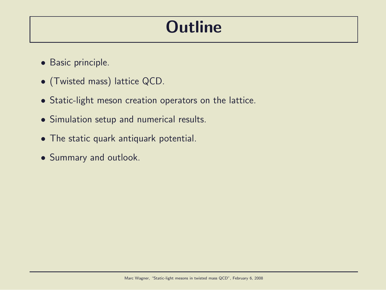### **Outline**

- Basic principle.
- (Twisted mass) lattice QCD.
- Static-light meson creation operators on the lattice.
- Simulation setup and numerical results.
- The static quark antiquark potential.
- Summary and outlook.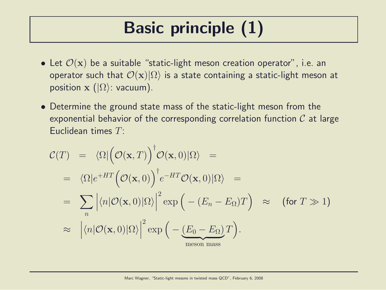# Basic principle (1)

- Let  $\mathcal{O}(\mathbf{x})$  be a suitable "static-light meson creation operator", i.e. an operator such that  $\mathcal{O}(\mathbf{x})|\Omega\rangle$  is a state containing a static-light meson at position  $\mathbf{x}$  ( $|\Omega\rangle$ : vacuum).
- Determine the ground state mass of the static-light meson from the exponential behavior of the corresponding correlation function  $C$  at large Euclidean times T:

$$
\mathcal{C}(T) = \langle \Omega | \big( \mathcal{O}(\mathbf{x}, T) \big)^{\dagger} \mathcal{O}(\mathbf{x}, 0) | \Omega \rangle =
$$
\n
$$
= \langle \Omega | e^{+HT} \big( \mathcal{O}(\mathbf{x}, 0) \big)^{\dagger} e^{-HT} \mathcal{O}(\mathbf{x}, 0) | \Omega \rangle =
$$
\n
$$
= \sum_{n} \left| \langle n | \mathcal{O}(\mathbf{x}, 0) | \Omega \rangle \right|^{2} \exp \big( - (E_{n} - E_{\Omega}) T \big) \approx \text{ (for } T \gg 1 \text{)}
$$
\n
$$
\approx \left| \langle n | \mathcal{O}(\mathbf{x}, 0) | \Omega \rangle \right|^{2} \exp \big( - \underbrace{(E_{0} - E_{\Omega}) T}_{\text{meson mass}} \big).
$$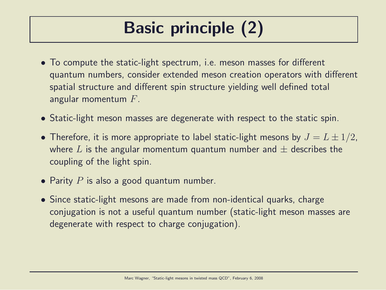# Basic principle (2)

- To compute the static-light spectrum, i.e. meson masses for different quantum numbers, consider extended meson creation operators with different spatial structure and different spin structure yielding well defined total angular momentum  $F$ .
- Static-light meson masses are degenerate with respect to the static spin.
- Therefore, it is more appropriate to label static-light mesons by  $J = L \pm 1/2$ , where L is the angular momentum quantum number and  $\pm$  describes the coupling of the light spin.
- Parity  $P$  is also a good quantum number.
- Since static-light mesons are made from non-identical quarks, charge conjugation is not a useful quantum number (static-light meson masses are degenerate with respect to charge conjugation).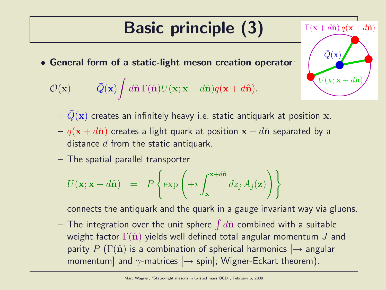# Basic principle (3)

• General form of a static-light meson creation operator:

$$
\mathcal{O}(\mathbf{x}) = \bar{Q}(\mathbf{x}) \int d\hat{\mathbf{n}} \Gamma(\hat{\mathbf{n}}) U(\mathbf{x}; \mathbf{x} + d\hat{\mathbf{n}}) q(\mathbf{x} + d\hat{\mathbf{n}}).
$$

- $Q(\mathbf{x})$  creates an infinitely heavy i.e. static antiquark at position x.
- $q(\mathbf{x} + d\hat{\mathbf{n}})$  creates a light quark at position  $\mathbf{x} + d\hat{\mathbf{n}}$  separated by a distance  $d$  from the static antiquark.
- The spatial parallel transporter

$$
U(\mathbf{x}; \mathbf{x} + d\hat{\mathbf{n}}) = P\left\{\exp\left(+i\int_{\mathbf{x}}^{\mathbf{x} + d\hat{\mathbf{n}}} dz_j A_j(\mathbf{z})\right)\right\}
$$

connects the antiquark and the quark in a gauge invariant way via gluons.

 $-$  The integration over the unit sphere  $\int d\hat{\mathbf{n}}$  combined with a suitable weight factor  $\Gamma(\hat{\mathbf{n}})$  yields well defined total angular momentum J and parity P ( $\Gamma(\hat{\mathbf{n}})$  is a combination of spherical harmonics  $\rightarrow$  angular momentum] and  $\gamma$ -matrices  $[\rightarrow$  spin]; Wigner-Eckart theorem).

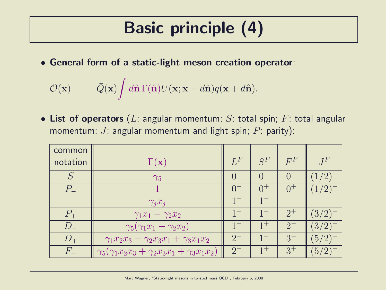## Basic principle (4)

• General form of a static-light meson creation operator:

$$
\mathcal{O}(\mathbf{x}) = \bar{Q}(\mathbf{x}) \int d\hat{\mathbf{n}} \Gamma(\hat{\mathbf{n}}) U(\mathbf{x}; \mathbf{x} + d\hat{\mathbf{n}}) q(\mathbf{x} + d\hat{\mathbf{n}}).
$$

• List of operators (L: angular momentum; S: total spin; F: total angular momentum; J: angular momentum and light spin;  $P$ : parity):

| common         |                                                                    |         |         |         |                |
|----------------|--------------------------------------------------------------------|---------|---------|---------|----------------|
| notation       | $\Gamma(\mathbf{x})$                                               | $L^P$   | $S^P$   | $F^P$   | $J^P$          |
|                | $\gamma_5$                                                         | $0^+$   |         |         |                |
| $P_{\perp}$    |                                                                    | $0^+$   | $()^+$  | (1)     |                |
|                | $\gamma_j x_j$                                                     | $1^{-}$ |         |         |                |
|                | $\gamma_1 x_1 - \gamma_2 x_2$                                      |         |         | $2^{+}$ | 3/2            |
| $\overline{D}$ | $\gamma_5(\gamma_1x_1-\gamma_2x_2)$                                |         | $1^{+}$ | $2^{-}$ | 3 <sub>l</sub> |
|                | $\gamma_1 x_2 x_3 + \gamma_2 x_3 x_1 + \gamma_3 x_1 x_2$           | $2^+$   |         | $3-$    | 5/             |
| $H^+$          | $\gamma_5(\gamma_1 x_2 x_3 + \gamma_2 x_3 x_1 + \gamma_3 x_1 x_2)$ | $2^+$   | $1^{+}$ | $3^+$   | 5 <sub>1</sub> |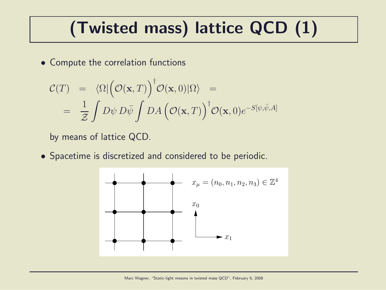# (Twisted mass) lattice QCD (1)

• Compute the correlation functions

$$
\mathcal{C}(T) = \langle \Omega | \left( \mathcal{O}(\mathbf{x}, T) \right)^{\dagger} \mathcal{O}(\mathbf{x}, 0) | \Omega \rangle =
$$
  
= 
$$
\frac{1}{\mathcal{Z}} \int D\psi D\bar{\psi} \int DA \left( \mathcal{O}(\mathbf{x}, T) \right)^{\dagger} \mathcal{O}(\mathbf{x}, 0) e^{-S[\psi, \bar{\psi}, A]}
$$

by means of lattice QCD.

• Spacetime is discretized and considered to be periodic.

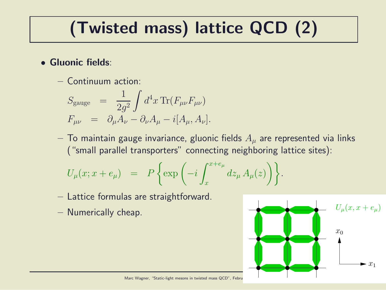# (Twisted mass) lattice QCD (2)

- Gluonic fields:
	- Continuum action:

$$
S_{\text{gauge}} = \frac{1}{2g^2} \int d^4x \,\text{Tr}(F_{\mu\nu}F_{\mu\nu})
$$
  

$$
F_{\mu\nu} = \partial_{\mu}A_{\nu} - \partial_{\nu}A_{\mu} - i[A_{\mu}, A_{\nu}].
$$

– To maintain gauge invariance, gluonic fields  $A_{\mu}$  are represented via links ("small parallel transporters" connecting neighboring lattice sites):

$$
U_{\mu}(x; x + e_{\mu}) = P\left\{\exp\left(-i \int_{x}^{x+e_{\mu}} dz_{\mu} A_{\mu}(z)\right)\right\}.
$$

- Lattice formulas are straightforward.
- Numerically cheap.



Marc Wagner, "Static-light mesons in twisted mass QCD", Febru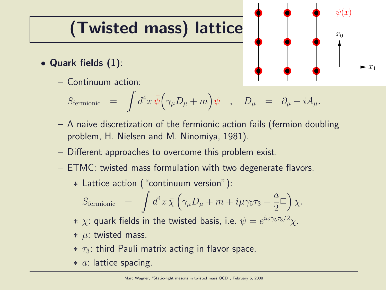## (Twisted mass) lattice

- Quark fields (1):
	- Continuum action:

$$
S_{\rm fermionic} \;\; = \;\; \int d^4x \, \bar{\psi} \Big( \gamma_\mu D_\mu + m \Big) \psi \quad , \quad D_\mu \;\; = \;\; \partial_\mu - i A_\mu .
$$

– A naive discretization of the fermionic action fails (fermion doubling problem, H. Nielsen and M. Ninomiya, 1981).

 $x_1$ 

 $x_0$ 

 $\psi(x)$ 

- Different approaches to overcome this problem exist.
- ETMC: twisted mass formulation with two degenerate flavors.
	- ∗ Lattice action ("continuum version"):

$$
S_{\text{fermionic}} = \int d^4x \,\overline{\chi} \left( \gamma_\mu D_\mu + m + i\mu \gamma_5 \tau_3 - \frac{a}{2} \Box \right) \chi.
$$

 $*$   $\chi$ : quark fields in the twisted basis, i.e.  $\psi=e^{i\omega\gamma_5\tau_3/2}\chi$ .

- $*$  µ: twisted mass.
- $*$   $\tau_3$ : third Pauli matrix acting in flavor space.
- $* a$ : lattice spacing.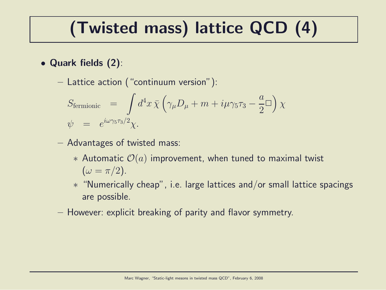## (Twisted mass) lattice QCD (4)

- Quark fields (2):
	- Lattice action ("continuum version"):

$$
S_{\text{fermionic}} = \int d^4x \,\overline{\chi} \left( \gamma_\mu D_\mu + m + i\mu \gamma_5 \tau_3 - \frac{a}{2} \Box \right) \chi
$$
  

$$
\psi = e^{i\omega \gamma_5 \tau_3/2} \chi.
$$

- Advantages of twisted mass:
	- ∗ Automatic O(a) improvement, when tuned to maximal twist  $(\omega = \pi/2).$
	- ∗ "Numerically cheap", i.e. large lattices and/or small lattice spacings are possible.
- However: explicit breaking of parity and flavor symmetry.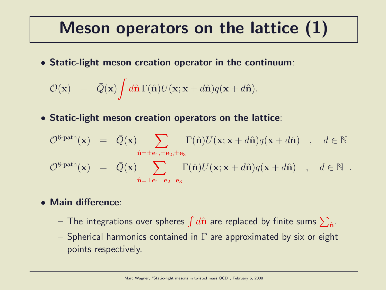#### Meson operators on the lattice (1)

• Static-light meson creation operator in the continuum:

$$
\mathcal{O}(\mathbf{x}) = \bar{Q}(\mathbf{x}) \int d\hat{\mathbf{n}} \Gamma(\hat{\mathbf{n}}) U(\mathbf{x}; \mathbf{x} + d\hat{\mathbf{n}}) q(\mathbf{x} + d\hat{\mathbf{n}}).
$$

• Static-light meson creation operators on the lattice:

$$
\mathcal{O}^{\text{6-path}}(\mathbf{x}) = \bar{Q}(\mathbf{x}) \sum_{\hat{\mathbf{n}}=\pm \mathbf{e}_1, \pm \mathbf{e}_2, \pm \mathbf{e}_3} \Gamma(\hat{\mathbf{n}}) U(\mathbf{x}; \mathbf{x} + d\hat{\mathbf{n}}) q(\mathbf{x} + d\hat{\mathbf{n}}) , d \in \mathbb{N}_+
$$
  

$$
\mathcal{O}^{\text{8-path}}(\mathbf{x}) = \bar{Q}(\mathbf{x}) \sum_{\hat{\mathbf{n}}=\pm \mathbf{e}_1 \pm \mathbf{e}_2 \pm \mathbf{e}_3} \Gamma(\hat{\mathbf{n}}) U(\mathbf{x}; \mathbf{x} + d\hat{\mathbf{n}}) q(\mathbf{x} + d\hat{\mathbf{n}}) , d \in \mathbb{N}_+.
$$

#### • Main difference:

- $-$  The integrations over spheres  $\int d\hat{\bf n}$  are replaced by finite sums  $\sum_{\hat{\bf n}}.$
- Spherical harmonics contained in  $\Gamma$  are approximated by six or eight points respectively.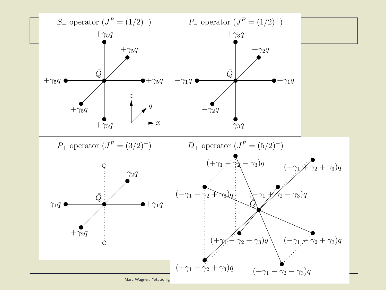

Marc Wagner, "Static-lig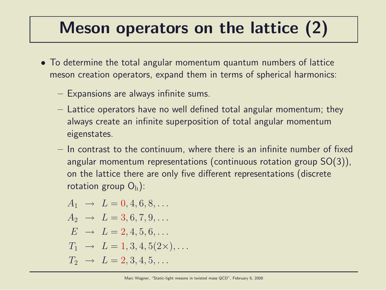### Meson operators on the lattice (2)

- To determine the total angular momentum quantum numbers of lattice meson creation operators, expand them in terms of spherical harmonics:
	- Expansions are always infinite sums.
	- Lattice operators have no well defined total angular momentum; they always create an infinite superposition of total angular momentum eigenstates.
	- In contrast to the continuum, where there is an infinite number of fixed angular momentum representations (continuous rotation group SO(3)), on the lattice there are only five different representations (discrete rotation group  $O_h$ ):

$$
A_1 \rightarrow L = 0, 4, 6, 8, ...
$$
  
\n
$$
A_2 \rightarrow L = 3, 6, 7, 9, ...
$$
  
\n
$$
E \rightarrow L = 2, 4, 5, 6, ...
$$
  
\n
$$
T_1 \rightarrow L = 1, 3, 4, 5(2 \times), ...
$$
  
\n
$$
T_2 \rightarrow L = 2, 3, 4, 5, ...
$$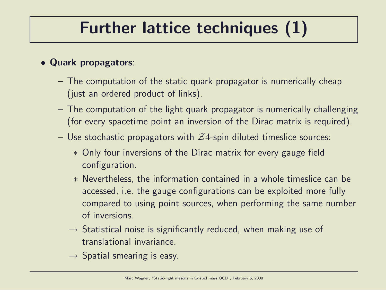## Further lattice techniques (1)

#### • Quark propagators:

- The computation of the static quark propagator is numerically cheap (just an ordered product of links).
- The computation of the light quark propagator is numerically challenging (for every spacetime point an inversion of the Dirac matrix is required).
- Use stochastic propagators with  $Z_4$ -spin diluted timeslice sources:
	- ∗ Only four inversions of the Dirac matrix for every gauge field configuration.
	- ∗ Nevertheless, the information contained in a whole timeslice can be accessed, i.e. the gauge configurations can be exploited more fully compared to using point sources, when performing the same number of inversions.
	- $\rightarrow$  Statistical noise is significantly reduced, when making use of translational invariance.
	- $\rightarrow$  Spatial smearing is easy.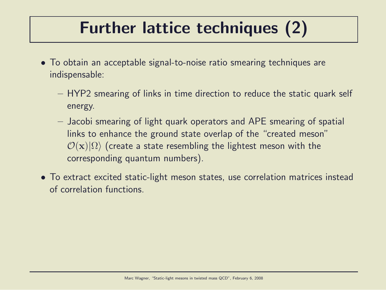## Further lattice techniques (2)

- To obtain an acceptable signal-to-noise ratio smearing techniques are indispensable:
	- HYP2 smearing of links in time direction to reduce the static quark self energy.
	- Jacobi smearing of light quark operators and APE smearing of spatial links to enhance the ground state overlap of the "created meson"  $\mathcal{O}(x)|\Omega\rangle$  (create a state resembling the lightest meson with the corresponding quantum numbers).
- To extract excited static-light meson states, use correlation matrices instead of correlation functions.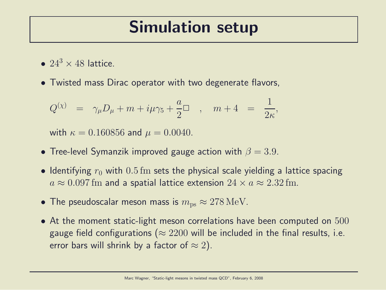#### Simulation setup

- $24^3 \times 48$  lattice.
- Twisted mass Dirac operator with two degenerate flavors,

$$
Q^{(\chi)} = \gamma_{\mu} D_{\mu} + m + i\mu\gamma_5 + \frac{a}{2} \Box , \quad m + 4 = \frac{1}{2\kappa},
$$

with  $\kappa = 0.160856$  and  $\mu = 0.0040$ .

- Tree-level Symanzik improved gauge action with  $\beta = 3.9$ .
- Identifying  $r_0$  with  $0.5$  fm sets the physical scale yielding a lattice spacing  $a \approx 0.097$  fm and a spatial lattice extension  $24 \times a \approx 2.32$  fm.
- The pseudoscalar meson mass is  $m_{\rm ps} \approx 278 \,\text{MeV}$ .
- At the moment static-light meson correlations have been computed on 500 gauge field configurations ( $\approx 2200$  will be included in the final results, i.e. error bars will shrink by a factor of  $\approx 2$ ).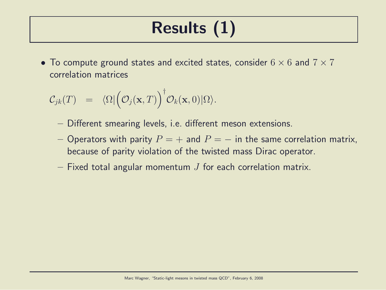# Results (1)

• To compute ground states and excited states, consider  $6 \times 6$  and  $7 \times 7$ correlation matrices

$$
\mathcal{C}_{jk}(T) = \langle \Omega | \big( \mathcal{O}_j(\mathbf{x}, T) \big)^\dagger \mathcal{O}_k(\mathbf{x}, 0) | \Omega \rangle.
$$

- Different smearing levels, i.e. different meson extensions.
- Operators with parity  $P = +$  and  $P = -$  in the same correlation matrix, because of parity violation of the twisted mass Dirac operator.
- $-$  Fixed total angular momentum  $J$  for each correlation matrix.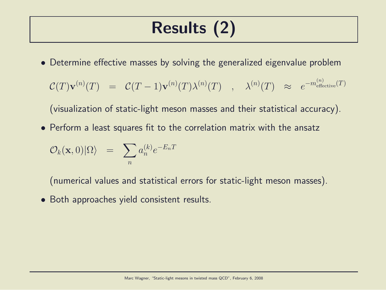## Results (2)

• Determine effective masses by solving the generalized eigenvalue problem

$$
\mathcal{C}(T)\mathbf{v}^{(n)}(T) \;\; = \;\; \mathcal{C}(T-1)\mathbf{v}^{(n)}(T)\lambda^{(n)}(T) \quad , \quad \lambda^{(n)}(T) \quad \approx \quad e^{-m_{\mathrm{effective}}^{(n)}(T)}
$$

(visualization of static-light meson masses and their statistical accuracy).

• Perform a least squares fit to the correlation matrix with the ansatz

$$
\mathcal{O}_k(\mathbf{x},0)|\Omega\rangle \;\; = \;\; \sum_n a_n^{(k)} e^{-E_n T}
$$

(numerical values and statistical errors for static-light meson masses).

• Both approaches yield consistent results.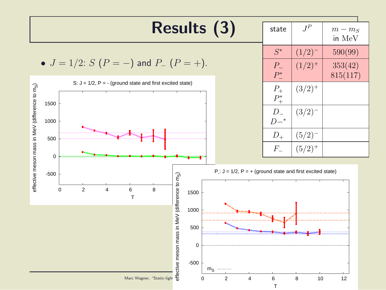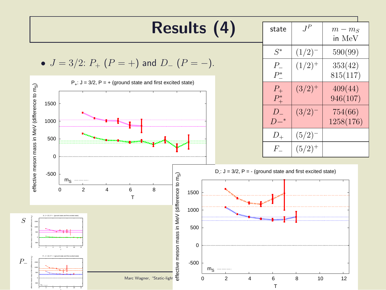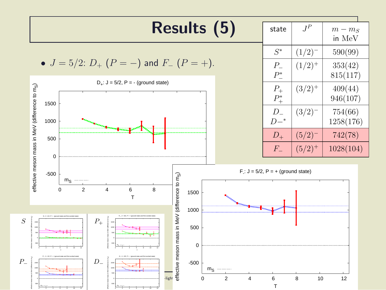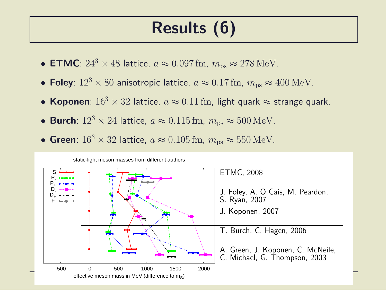## Results (6)

- ETMC:  $24^3 \times 48$  lattice,  $a \approx 0.097$  fm,  $m_{\text{ps}} \approx 278$  MeV.
- Foley:  $12^3 \times 80$  anisotropic lattice,  $a \approx 0.17$  fm,  $m_{\text{ps}} \approx 400 \text{ MeV}$ .
- Koponen:  $16^3 \times 32$  lattice,  $a \approx 0.11$  fm, light quark  $\approx$  strange quark.
- Burch:  $12^3 \times 24$  lattice,  $a \approx 0.115$  fm,  $m_{\text{ps}} \approx 500$  MeV.
- Green:  $16^3 \times 32$  lattice,  $a \approx 0.105$  fm,  $m_{\text{ps}} \approx 550$  MeV.

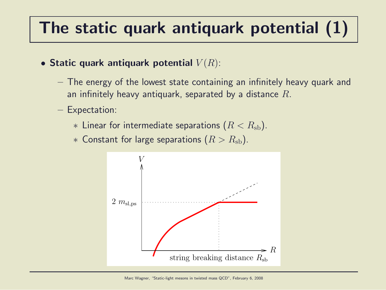# The static quark antiquark potential (1)

- Static quark antiquark potential  $V(R)$ :
	- The energy of the lowest state containing an infinitely heavy quark and an infinitely heavy antiquark, separated by a distance  $R$ .
	- Expectation:
		- $*$  Linear for intermediate separations  $(R < R_{\rm sh})$ .
		- ∗ Constant for large separations  $(R > R_{sb})$ .

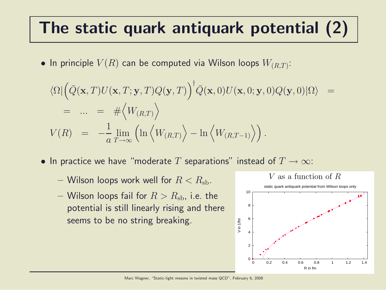## The static quark antiquark potential (2)

 $\bullet$  In principle  $V(R)$  can be computed via Wilson loops  $W_{(R,T)}$ :

$$
\langle \Omega | \left( \bar{Q}(\mathbf{x}, T) U(\mathbf{x}, T; \mathbf{y}, T) Q(\mathbf{y}, T) \right)^{\dagger} \bar{Q}(\mathbf{x}, 0) U(\mathbf{x}, 0; \mathbf{y}, 0) Q(\mathbf{y}, 0) | \Omega \rangle =
$$
  
\n
$$
= ... = # \langle W_{(R,T)} \rangle
$$
  
\n
$$
V(R) = -\frac{1}{a} \lim_{T \to \infty} \left( \ln \langle W_{(R,T)} \rangle - \ln \langle W_{(R,T-1)} \rangle \right).
$$

- In practice we have "moderate T separations" instead of  $T \to \infty$ :
	- Wilson loops work well for  $R < R_{\rm sh}$ .
	- Wilson loops fail for  $R > R_{\rm sh}$ , i.e. the potential is still linearly rising and there seems to be no string breaking.

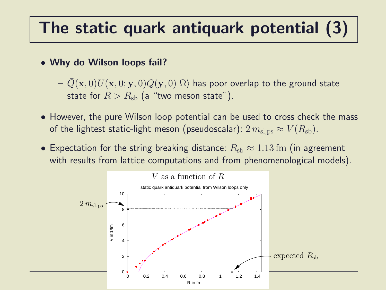## The static quark antiquark potential (3)

• Why do Wilson loops fail?

 $- Q(\mathbf{x}, 0)U(\mathbf{x}, 0; \mathbf{y}, 0)Q(\mathbf{y}, 0)|\Omega\rangle$  has poor overlap to the ground state state for  $R > R_{\rm sb}$  (a "two meson state").

- However, the pure Wilson loop potential can be used to cross check the mass of the lightest static-light meson (pseudoscalar):  $2 m<sub>sl,ps</sub> \approx V(R<sub>sb</sub>)$ .
- Expectation for the string breaking distance:  $R_{sb} \approx 1.13$  fm (in agreement with results from lattice computations and from phenomenological models).

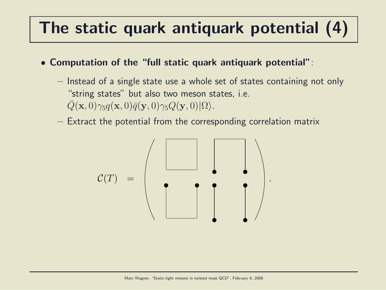# The static quark antiquark potential (4)

• Computation of the "full static quark antiquark potential":

- Instead of a single state use a whole set of states containing not only "string states" but also two meson states, i.e.  $Q(\mathbf{x}, 0)\gamma_5q(\mathbf{x}, 0)\bar{q}(\mathbf{y}, 0)\gamma_5Q(\mathbf{y}, 0)|\Omega\rangle.$
- Extract the potential from the corresponding correlation matrix

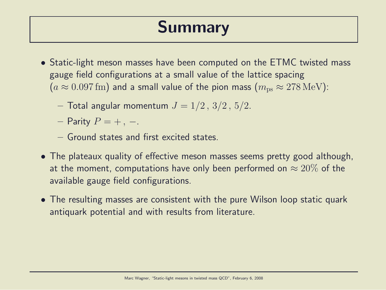#### Summary

- Static-light meson masses have been computed on the ETMC twisted mass gauge field configurations at a small value of the lattice spacing  $(a \approx 0.097$  fm) and a small value of the pion mass  $(m_{\text{ps}} \approx 278 \text{ MeV})$ :
	- Total angular momentum  $J = 1/2, 3/2, 5/2$ .
	- Parity  $P = +$ , –.
	- Ground states and first excited states.
- The plateaux quality of effective meson masses seems pretty good although, at the moment, computations have only been performed on  $\approx 20\%$  of the available gauge field configurations.
- The resulting masses are consistent with the pure Wilson loop static quark antiquark potential and with results from literature.